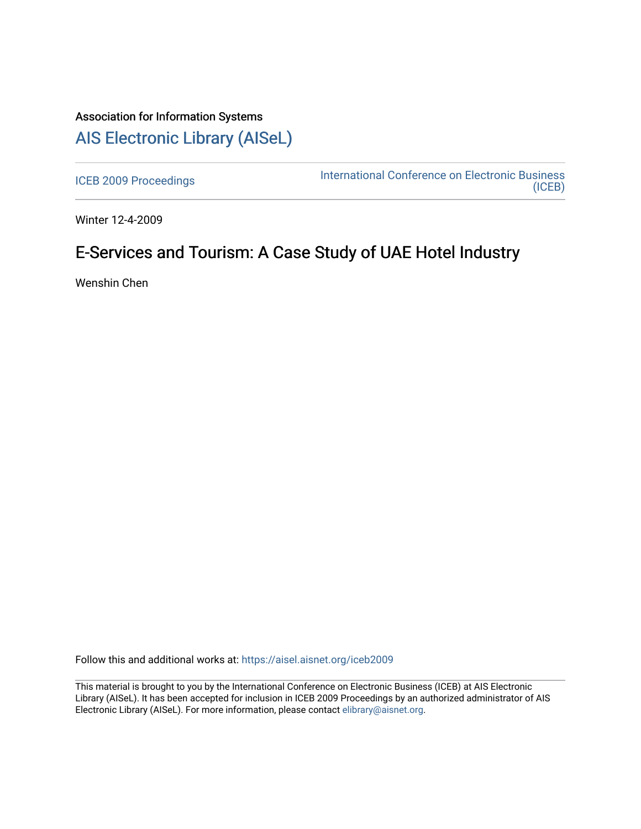## Association for Information Systems [AIS Electronic Library \(AISeL\)](https://aisel.aisnet.org/)

[ICEB 2009 Proceedings](https://aisel.aisnet.org/iceb2009) **International Conference on Electronic Business** [\(ICEB\)](https://aisel.aisnet.org/iceb) 

Winter 12-4-2009

# E-Services and Tourism: A Case Study of UAE Hotel Industry

Wenshin Chen

Follow this and additional works at: [https://aisel.aisnet.org/iceb2009](https://aisel.aisnet.org/iceb2009?utm_source=aisel.aisnet.org%2Ficeb2009%2F110&utm_medium=PDF&utm_campaign=PDFCoverPages)

This material is brought to you by the International Conference on Electronic Business (ICEB) at AIS Electronic Library (AISeL). It has been accepted for inclusion in ICEB 2009 Proceedings by an authorized administrator of AIS Electronic Library (AISeL). For more information, please contact [elibrary@aisnet.org.](mailto:elibrary@aisnet.org%3E)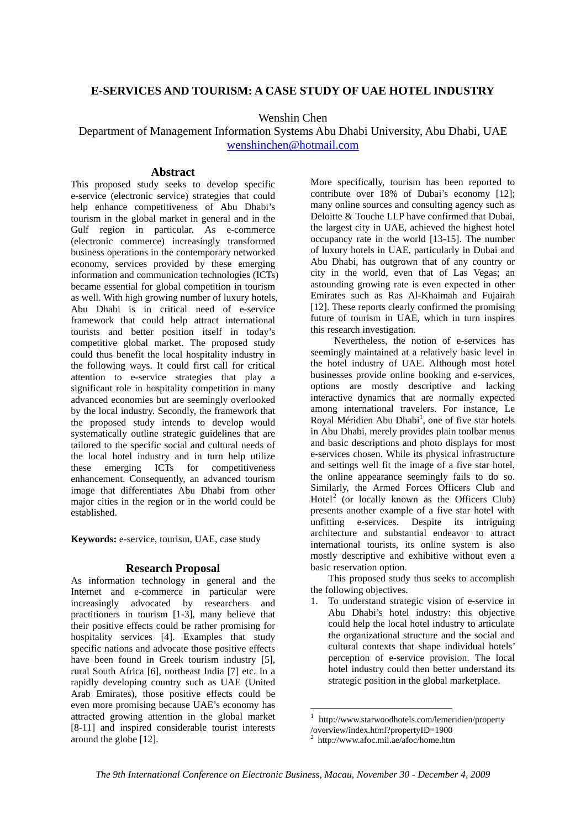### **E-SERVICES AND TOURISM: A CASE STUDY OF UAE HOTEL INDUSTRY**

Wenshin Chen

Department of Management Information Systems Abu Dhabi University, Abu Dhabi, UAE wenshinchen@hotmail.com

#### **Abstract**

This proposed study seeks to develop specific e-service (electronic service) strategies that could help enhance competitiveness of Abu Dhabi's tourism in the global market in general and in the Gulf region in particular. As e-commerce (electronic commerce) increasingly transformed business operations in the contemporary networked economy, services provided by these emerging information and communication technologies (ICTs) became essential for global competition in tourism as well. With high growing number of luxury hotels, Abu Dhabi is in critical need of e-service framework that could help attract international tourists and better position itself in today's competitive global market. The proposed study could thus benefit the local hospitality industry in the following ways. It could first call for critical attention to e-service strategies that play a significant role in hospitality competition in many advanced economies but are seemingly overlooked by the local industry. Secondly, the framework that the proposed study intends to develop would systematically outline strategic guidelines that are tailored to the specific social and cultural needs of the local hotel industry and in turn help utilize these emerging ICTs for competitiveness enhancement. Consequently, an advanced tourism image that differentiates Abu Dhabi from other major cities in the region or in the world could be established.

**Keywords:** e-service, tourism, UAE, case study

#### **Research Proposal**

As information technology in general and the Internet and e-commerce in particular were increasingly advocated by researchers and practitioners in tourism [1-3], many believe that their positive effects could be rather promising for hospitality services [4]. Examples that study specific nations and advocate those positive effects have been found in Greek tourism industry [5], rural South Africa [6], northeast India [7] etc. In a rapidly developing country such as UAE (United Arab Emirates), those positive effects could be even more promising because UAE's economy has attracted growing attention in the global market [8-11] and inspired considerable tourist interests around the globe [12].

More specifically, tourism has been reported to contribute over 18% of Dubai's economy [12]; many online sources and consulting agency such as Deloitte & Touche LLP have confirmed that Dubai, the largest city in UAE, achieved the highest hotel occupancy rate in the world [13-15]. The number of luxury hotels in UAE, particularly in Dubai and Abu Dhabi, has outgrown that of any country or city in the world, even that of Las Vegas; an astounding growing rate is even expected in other Emirates such as Ras Al-Khaimah and Fujairah [12]. These reports clearly confirmed the promising future of tourism in UAE, which in turn inspires this research investigation.

Nevertheless, the notion of e-services has seemingly maintained at a relatively basic level in the hotel industry of UAE. Although most hotel businesses provide online booking and e-services, options are mostly descriptive and lacking interactive dynamics that are normally expected among international travelers. For instance, Le Royal Méridien Abu Dhabi<sup>1</sup>, one of five star hotels in Abu Dhabi, merely provides plain toolbar menus and basic descriptions and photo displays for most e-services chosen. While its physical infrastructure and settings well fit the image of a five star hotel, the online appearance seemingly fails to do so. Similarly, the Armed Forces Officers Club and Hotel<sup>2</sup> (or locally known as the Officers Club) presents another example of a five star hotel with unfitting e-services. Despite its intriguing architecture and substantial endeavor to attract international tourists, its online system is also mostly descriptive and exhibitive without even a basic reservation option.

This proposed study thus seeks to accomplish the following objectives.

1. To understand strategic vision of e-service in Abu Dhabi's hotel industry: this objective could help the local hotel industry to articulate the organizational structure and the social and cultural contexts that shape individual hotels' perception of e-service provision. The local hotel industry could then better understand its strategic position in the global marketplace.

<u>.</u>

<sup>1</sup> http://www.starwoodhotels.com/lemeridien/property

<sup>/</sup>overview/index.html?propertyID=1900 2

http://www.afoc.mil.ae/afoc/home.htm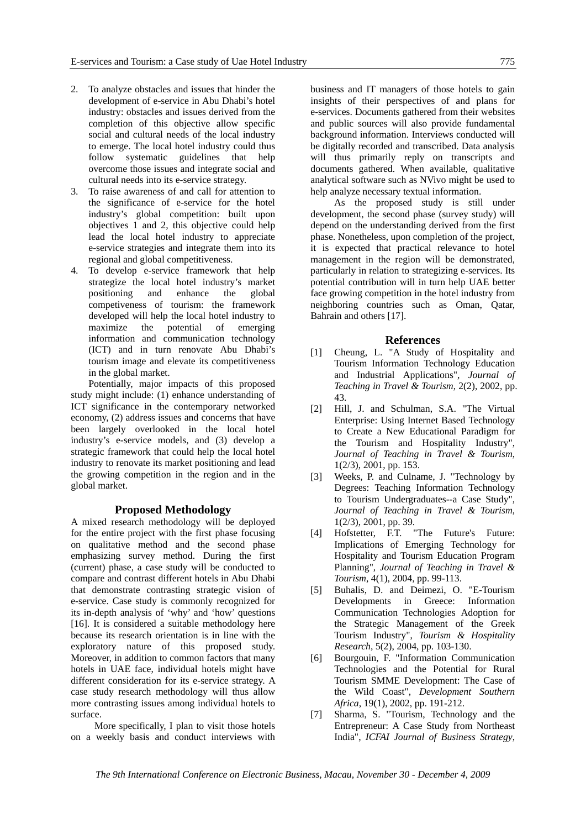- 2. To analyze obstacles and issues that hinder the development of e-service in Abu Dhabi's hotel industry: obstacles and issues derived from the completion of this objective allow specific social and cultural needs of the local industry to emerge. The local hotel industry could thus follow systematic guidelines that help overcome those issues and integrate social and cultural needs into its e-service strategy.
- 3. To raise awareness of and call for attention to the significance of e-service for the hotel industry's global competition: built upon objectives 1 and 2, this objective could help lead the local hotel industry to appreciate e-service strategies and integrate them into its regional and global competitiveness.
- 4. To develop e-service framework that help strategize the local hotel industry's market positioning and enhance the global competiveness of tourism: the framework developed will help the local hotel industry to maximize the potential of emerging information and communication technology (ICT) and in turn renovate Abu Dhabi's tourism image and elevate its competitiveness in the global market.

Potentially, major impacts of this proposed study might include: (1) enhance understanding of ICT significance in the contemporary networked economy, (2) address issues and concerns that have been largely overlooked in the local hotel industry's e-service models, and (3) develop a strategic framework that could help the local hotel industry to renovate its market positioning and lead the growing competition in the region and in the global market.

#### **Proposed Methodology**

A mixed research methodology will be deployed for the entire project with the first phase focusing on qualitative method and the second phase emphasizing survey method. During the first (current) phase, a case study will be conducted to compare and contrast different hotels in Abu Dhabi that demonstrate contrasting strategic vision of e-service. Case study is commonly recognized for its in-depth analysis of 'why' and 'how' questions [16]. It is considered a suitable methodology here because its research orientation is in line with the exploratory nature of this proposed study. Moreover, in addition to common factors that many hotels in UAE face, individual hotels might have different consideration for its e-service strategy. A case study research methodology will thus allow more contrasting issues among individual hotels to surface.

More specifically, I plan to visit those hotels on a weekly basis and conduct interviews with

business and IT managers of those hotels to gain insights of their perspectives of and plans for e-services. Documents gathered from their websites and public sources will also provide fundamental background information. Interviews conducted will be digitally recorded and transcribed. Data analysis will thus primarily reply on transcripts and documents gathered. When available, qualitative analytical software such as NVivo might be used to help analyze necessary textual information.

As the proposed study is still under development, the second phase (survey study) will depend on the understanding derived from the first phase. Nonetheless, upon completion of the project, it is expected that practical relevance to hotel management in the region will be demonstrated, particularly in relation to strategizing e-services. Its potential contribution will in turn help UAE better face growing competition in the hotel industry from neighboring countries such as Oman, Qatar, Bahrain and others [17].

#### **References**

- [1] Cheung, L. "A Study of Hospitality and Tourism Information Technology Education and Industrial Applications", *Journal of Teaching in Travel & Tourism*, 2(2), 2002, pp. 43.
- [2] Hill, J. and Schulman, S.A. "The Virtual Enterprise: Using Internet Based Technology to Create a New Educational Paradigm for the Tourism and Hospitality Industry", *Journal of Teaching in Travel & Tourism*, 1(2/3), 2001, pp. 153.
- [3] Weeks, P. and Culname, J. "Technology by Degrees: Teaching Information Technology to Tourism Undergraduates--a Case Study", *Journal of Teaching in Travel & Tourism*, 1(2/3), 2001, pp. 39.
- [4] Hofstetter, F.T. "The Future's Future: Implications of Emerging Technology for Hospitality and Tourism Education Program Planning", *Journal of Teaching in Travel & Tourism*, 4(1), 2004, pp. 99-113.
- [5] Buhalis, D. and Deimezi, O. "E-Tourism Developments in Greece: Information Communication Technologies Adoption for the Strategic Management of the Greek Tourism Industry", *Tourism & Hospitality Research*, 5(2), 2004, pp. 103-130.
- [6] Bourgouin, F. "Information Communication Technologies and the Potential for Rural Tourism SMME Development: The Case of the Wild Coast", *Development Southern Africa*, 19(1), 2002, pp. 191-212.
- [7] Sharma, S. "Tourism, Technology and the Entrepreneur: A Case Study from Northeast India", *ICFAI Journal of Business Strategy*,